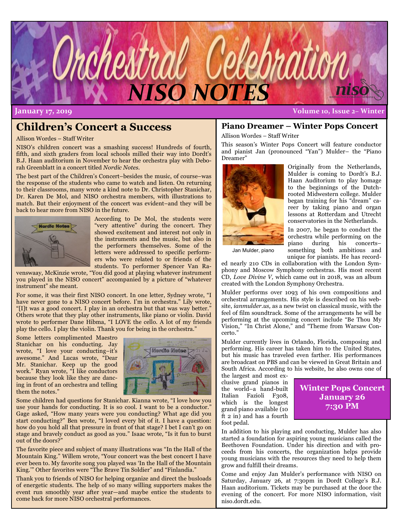

**January 17, 2019 Volume 10, Issue 2– Winter**

# **Children's Concert a Success**

Allison Wordes – Staff Writer

NISO's children concert was a smashing success! Hundreds of fourth, fifth, and sixth graders from local schools milled their way into Dordt's B.J. Haan auditorium in November to hear the orchestra play with Deborah Greenblatt in a concert titled *Nordic Notes.* 

The best part of the Children's Concert–besides the music, of course–was the response of the students who came to watch and listen. On returning to their classrooms, many wrote a kind note to Dr. Christopher Stanichar, Dr. Karen De Mol, and NISO orchestra members, with illustrations to match. But their enjoyment of the concert was evident–and they will be back to hear more from NISO in the future.



According to De Mol, the students were "very attentive" during the concert. They showed excitement and interest not only in the instruments and the music, but also in the performers themselves. Some of the letters were addressed to specific performers who were related to or friends of the students. To performer Spencer Van Ra-

venswaay, McKinzie wrote, "You did good at playing whatever instrument you played in the NISO concert" accompanied by a picture of "whatever instrument" she meant.

For some, it was their first NISO concert. In one letter, Sydney wrote, "I have never gone to a NISO concert before. I'm in orchestra." Lily wrote, "[I]t was a good concert. I play in an orchestra but that was way better." Others wrote that they play other instruments, like piano or violin. David wrote to performer Dane Hibma, "I LOVE the cello. A lot of my friends play the cello. I play the violin. Thank you for being in the orchestra."

Some letters complimented Maestro Stanichar on his conducting. Jay wrote, "I love your conducting–it's awesome." And Lucas wrote, "Dear Mr. Stanichar. Keep up the good work." Ryan wrote, "I like conductors because they look like they are dancing in front of an orchestra and telling them the notes."



Some children had questions for Stanichar. Kianna wrote, "I love how you use your hands for conducting. It is so cool. I want to be a conductor." Gage asked, "How many years were you conducting? What age did you start conducting?" Ben wrote, "I loved every bit of it. I have a question: how do you hold all that pressure in front of that stage? I bet I can't go on stage and bravely conduct as good as you." Isaac wrote, "Is it fun to burst out of the doors?"

The favorite piece and subject of many illustrations was "In the Hall of the Mountain King." Willem wrote, "Your concert was the best concert I have ever been to. My favorite song you played was 'In the Hall of the Mountain King.'" Other favorites were "The Brave Tin Soldier" and "Finlandia."

Thank you to friends of NISO for helping organize and direct the busloads of energetic students. The help of so many willing supporters makes the event run smoothly year after year—and maybe entice the students to come back for more NISO orchestral performances.

### **Piano Dreamer – Winter Pops Concert**

Allison Wordes – Staff Writer

This season's Winter Pops Concert will feature conductor and pianist Jan (pronounced "Yan") Mulder– the "Piano Dreamer"



Originally from the Netherlands, Mulder is coming to Dordt's B.J. Haan Auditorium to play homage to the beginnings of the Dutchrooted Midwestern college. Mulder began training for his "dream" career by taking piano and organ lessons at Rotterdam and Utrecht conservatories in the Netherlands.

In 2007, he began to conduct the orchestra while performing on the piano during his concerts– something both ambitious and unique for pianists. He has record-

Jan Mulder, piano

ed nearly 210 CDs in collaboration with the London Symphony and Moscow Symphony orchestras. His most recent CD, *Love Divine V,* which came out in 2018, was an album created with the London Symphony Orchestra.

Mulder performs over 1093 of his own compositions and orchestral arrangements. His style is described on his website, *ianmulder.us,* as a new twist on classical music, with the feel of film soundtrack. Some of the arrangements he will be performing at the upcoming concert include "Be Thou My Vision," "In Christ Alone," and "Theme from Warsaw Concerto."

Mulder currently lives in Orlando, Florida, composing and performing. His career has taken him to the United States, but his music has traveled even farther. His performances are broadcast on PBS and can be viewed in Great Britain and South Africa. According to his website, he also owns one of

the largest and most exclusive grand pianos in the world–a hand-built Italian Fazioli F308, which is the longest grand piano available (10  $ft 2 in)$  and has a fourth foot pedal.

### **Winter Pops Concert January 26 7:30 PM**

In addition to his playing and conducting, Mulder has also started a foundation for aspiring young musicians called the Beethoven Foundation. Under his direction and with proceeds from his concerts, the organization helps provide young musicians with the resources they need to help them grow and fulfill their dreams.

Come and enjoy Jan Mulder's performance with NISO on Saturday, January 26, at 7:30pm in Dordt College's B.J. Haan auditorium. Tickets may be purchased at the door the evening of the concert. For more NISO information, visit niso.dordt.edu.